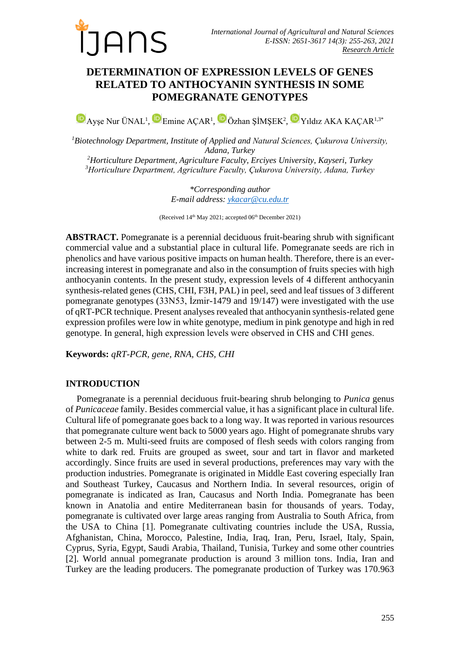

# **DETERMINATION OF EXPRESSION LEVELS OF GENES RELATED TO ANTHOCYANIN SYNTHESIS IN SOME POMEGRANATE GENOTYPES**

AyşeNur ÜNAL<sup>1</sup>, Emine AÇAR<sup>1</sup>, DÖzhan ŞİMŞEK<sup>2</sup>, DYıldız AKA KAÇAR<sup>1,3\*</sup>

*Biotechnology Department, Institute of Applied and Natural Sciences, Çukurova University, Adana, Turkey Horticulture Department, Agriculture Faculty, Erciyes University, Kayseri, Turkey Horticulture Department, Agriculture Faculty, Çukurova University, Adana, Turkey*

> *\*Corresponding author E-mail address[: ykacar@cu.edu.tr](mailto:ykacar@cu.edu.tr)*

(Received  $14<sup>th</sup>$  May 2021; accepted 06<sup>th</sup> December 2021)

**ABSTRACT.** Pomegranate is a perennial deciduous fruit-bearing shrub with significant commercial value and a substantial place in cultural life. Pomegranate seeds are rich in phenolics and have various positive impacts on human health. Therefore, there is an everincreasing interest in pomegranate and also in the consumption of fruits species with high anthocyanin contents. In the present study, expression levels of 4 different anthocyanin synthesis-related genes (CHS, CHI, F3H, PAL) in peel, seed and leaf tissues of 3 different pomegranate genotypes (33N53, İzmir-1479 and 19/147) were investigated with the use of qRT-PCR technique. Present analyses revealed that anthocyanin synthesis-related gene expression profiles were low in white genotype, medium in pink genotype and high in red genotype. In general, high expression levels were observed in CHS and CHI genes.

**Keywords:** *qRT-PCR, gene, RNA, CHS, CHI*

# **INTRODUCTION**

Pomegranate is a perennial deciduous fruit-bearing shrub belonging to *Punica* genus of *Punicaceae* family. Besides commercial value, it has a significant place in cultural life. Cultural life of pomegranate goes back to a long way. It was reported in various resources that pomegranate culture went back to 5000 years ago. Hight of pomegranate shrubs vary between 2-5 m. Multi-seed fruits are composed of flesh seeds with colors ranging from white to dark red. Fruits are grouped as sweet, sour and tart in flavor and marketed accordingly. Since fruits are used in several productions, preferences may vary with the production industries. Pomegranate is originated in Middle East covering especially Iran and Southeast Turkey, Caucasus and Northern India. In several resources, origin of pomegranate is indicated as Iran, Caucasus and North India. Pomegranate has been known in Anatolia and entire Mediterranean basin for thousands of years. Today, pomegranate is cultivated over large areas ranging from Australia to South Africa, from the USA to China [1]. Pomegranate cultivating countries include the USA, Russia, Afghanistan, China, Morocco, Palestine, India, Iraq, Iran, Peru, Israel, Italy, Spain, Cyprus, Syria, Egypt, Saudi Arabia, Thailand, Tunisia, Turkey and some other countries [2]. World annual pomegranate production is around 3 million tons. India, Iran and Turkey are the leading producers. The pomegranate production of Turkey was 170.963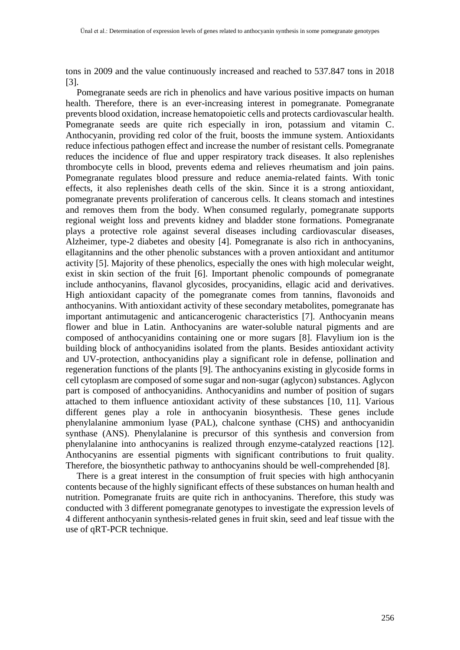tons in 2009 and the value continuously increased and reached to 537.847 tons in 2018 [3].

Pomegranate seeds are rich in phenolics and have various positive impacts on human health. Therefore, there is an ever-increasing interest in pomegranate. Pomegranate prevents blood oxidation, increase hematopoietic cells and protects cardiovascular health. Pomegranate seeds are quite rich especially in iron, potassium and vitamin C. Anthocyanin, providing red color of the fruit, boosts the immune system. Antioxidants reduce infectious pathogen effect and increase the number of resistant cells. Pomegranate reduces the incidence of flue and upper respiratory track diseases. It also replenishes thrombocyte cells in blood, prevents edema and relieves rheumatism and join pains. Pomegranate regulates blood pressure and reduce anemia-related faints. With tonic effects, it also replenishes death cells of the skin. Since it is a strong antioxidant, pomegranate prevents proliferation of cancerous cells. It cleans stomach and intestines and removes them from the body. When consumed regularly, pomegranate supports regional weight loss and prevents kidney and bladder stone formations. Pomegranate plays a protective role against several diseases including cardiovascular diseases, Alzheimer, type-2 diabetes and obesity [4]. Pomegranate is also rich in anthocyanins, ellagitannins and the other phenolic substances with a proven antioxidant and antitumor activity [5]. Majority of these phenolics, especially the ones with high molecular weight, exist in skin section of the fruit [6]. Important phenolic compounds of pomegranate include anthocyanins, flavanol glycosides, procyanidins, ellagic acid and derivatives. High antioxidant capacity of the pomegranate comes from tannins, flavonoids and anthocyanins. With antioxidant activity of these secondary metabolites, pomegranate has important antimutagenic and anticancerogenic characteristics [7]. Anthocyanin means flower and blue in Latin. Anthocyanins are water-soluble natural pigments and are composed of anthocyanidins containing one or more sugars [8]. Flavylium ion is the building block of anthocyanidins isolated from the plants. Besides antioxidant activity and UV-protection, anthocyanidins play a significant role in defense, pollination and regeneration functions of the plants [9]. The anthocyanins existing in glycoside forms in cell cytoplasm are composed of some sugar and non-sugar (aglycon) substances. Aglycon part is composed of anthocyanidins. Anthocyanidins and number of position of sugars attached to them influence antioxidant activity of these substances [10, 11]. Various different genes play a role in anthocyanin biosynthesis. These genes include phenylalanine ammonium lyase (PAL), chalcone synthase (CHS) and anthocyanidin synthase (ANS). Phenylalanine is precursor of this synthesis and conversion from phenylalanine into anthocyanins is realized through enzyme-catalyzed reactions [12]. Anthocyanins are essential pigments with significant contributions to fruit quality. Therefore, the biosynthetic pathway to anthocyanins should be well-comprehended [8].

There is a great interest in the consumption of fruit species with high anthocyanin contents because of the highly significant effects of these substances on human health and nutrition. Pomegranate fruits are quite rich in anthocyanins. Therefore, this study was conducted with 3 different pomegranate genotypes to investigate the expression levels of 4 different anthocyanin synthesis-related genes in fruit skin, seed and leaf tissue with the use of qRT-PCR technique.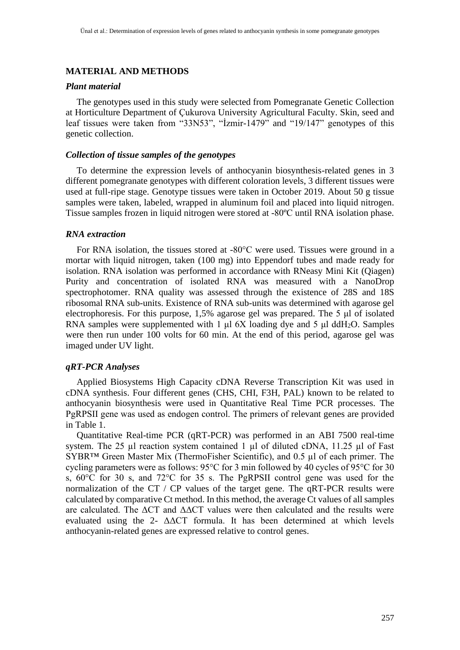## **MATERIAL AND METHODS**

#### *Plant material*

The genotypes used in this study were selected from Pomegranate Genetic Collection at Horticulture Department of Çukurova University Agricultural Faculty. Skin, seed and leaf tissues were taken from "33N53", "İzmir-1479" and "19/147" genotypes of this genetic collection.

#### *Collection of tissue samples of the genotypes*

To determine the expression levels of anthocyanin biosynthesis-related genes in 3 different pomegranate genotypes with different coloration levels, 3 different tissues were used at full-ripe stage. Genotype tissues were taken in October 2019. About 50 g tissue samples were taken, labeled, wrapped in aluminum foil and placed into liquid nitrogen. Tissue samples frozen in liquid nitrogen were stored at -80ºC until RNA isolation phase.

#### *RNA extraction*

For RNA isolation, the tissues stored at -80°C were used. Tissues were ground in a mortar with liquid nitrogen, taken (100 mg) into Eppendorf tubes and made ready for isolation. RNA isolation was performed in accordance with RNeasy Mini Kit (Qiagen) Purity and concentration of isolated RNA was measured with a NanoDrop spectrophotomer. RNA quality was assessed through the existence of 28S and 18S ribosomal RNA sub-units. Existence of RNA sub-units was determined with agarose gel electrophoresis. For this purpose, 1,5% agarose gel was prepared. The 5 μl of isolated RNA samples were supplemented with 1 μl 6X loading dye and 5 μl ddH2O. Samples were then run under 100 volts for 60 min. At the end of this period, agarose gel was imaged under UV light.

# *qRT-PCR Analyses*

Applied Biosystems High Capacity cDNA Reverse Transcription Kit was used in cDNA synthesis. Four different genes (CHS, CHI, F3H, PAL) known to be related to anthocyanin biosynthesis were used in Quantitative Real Time PCR processes. The PgRPSII gene was used as endogen control. The primers of relevant genes are provided in Table 1.

Quantitative Real-time PCR (qRT-PCR) was performed in an ABI 7500 real-time system. The 25 ul reaction system contained 1 ul of diluted cDNA, 11.25 ul of Fast SYBR™ Green Master Mix (ThermoFisher Scientific), and 0.5 µl of each primer. The cycling parameters were as follows: 95°C for 3 min followed by 40 cycles of 95°C for 30 s, 60°C for 30 s, and 72°C for 35 s. The PgRPSΙΙ control gene was used for the normalization of the CT / CP values of the target gene. The qRT-PCR results were calculated by comparative Ct method. In this method, the average Ct values of all samples are calculated. The ΔCT and ΔΔCT values were then calculated and the results were evaluated using the 2-  $\Delta \Delta CT$  formula. It has been determined at which levels anthocyanin-related genes are expressed relative to control genes.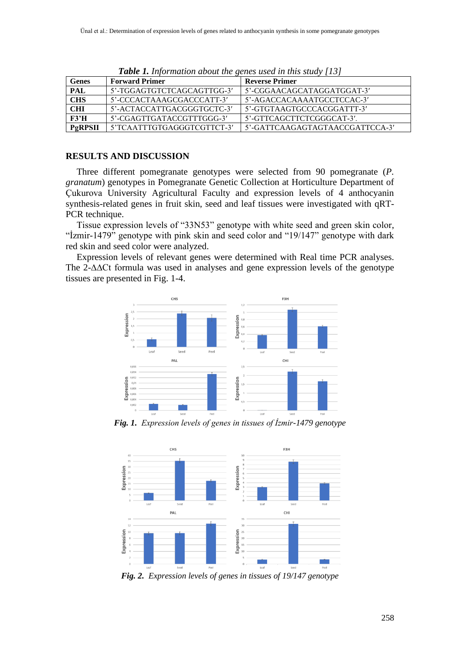| <b>TWON Is hypermannon about the genes used in mus shawy</b> five |                            |                                 |
|-------------------------------------------------------------------|----------------------------|---------------------------------|
| <b>Genes</b>                                                      | <b>Forward Primer</b>      | <b>Reverse Primer</b>           |
| PAL                                                               | 5'-TGGAGTGTCTCAGCAGTTGG-3' | 5'-CGGAACAGCATAGGATGGAT-3'      |
| <b>CHS</b>                                                        | 5'-CCCACTAAAGCGACCCATT-3'  | 5'-AGACCACAAAATGCCTCCAC-3'      |
| <b>CHI</b>                                                        | 5'-ACTACCATTGACGGGTGCTC-3' | 5'-GTGTAAGTGCCCACGGATTT-3'      |
| F3'H                                                              | 5'-CGAGTTGATACCGTTTGGG-3'  | 5'-GTTCAGCTTCTCGGGCAT-3'.       |
| PgRPSII                                                           | 5'TCAATTTGTGAGGGTCGTTCT-3' | 5'-GATTCAAGAGTAGTAACCGATTCCA-3' |

*Table 1. Information about the genes used in this study [13]*

# **RESULTS AND DISCUSSION**

Three different pomegranate genotypes were selected from 90 pomegranate (*P. granatum*) genotypes in Pomegranate Genetic Collection at Horticulture Department of Çukurova University Agricultural Faculty and expression levels of 4 anthocyanin synthesis-related genes in fruit skin, seed and leaf tissues were investigated with qRT-PCR technique.

Tissue expression levels of "33N53" genotype with white seed and green skin color, "İzmir-1479" genotype with pink skin and seed color and "19/147" genotype with dark red skin and seed color were analyzed.

Expression levels of relevant genes were determined with Real time PCR analyses. The 2-∆∆Ct formula was used in analyses and gene expression levels of the genotype tissues are presented in Fig. 1-4.



*Fig. 1. Expression levels of genes in tissues of İzmir-1479 genotype*



*Fig. 2. Expression levels of genes in tissues of 19/147 genotype*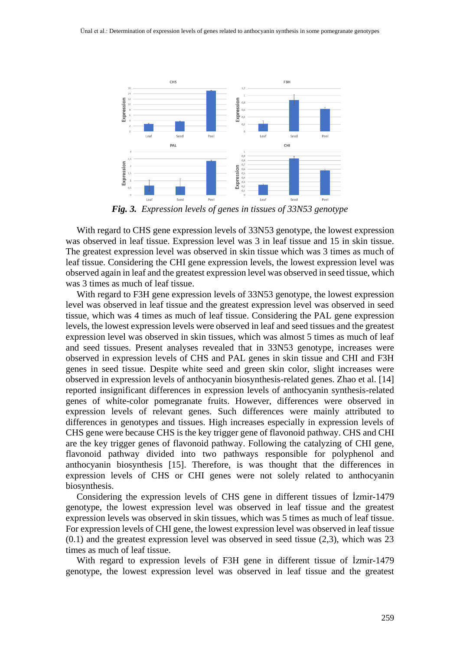

*Fig. 3. Expression levels of genes in tissues of 33N53 genotype*

With regard to CHS gene expression levels of 33N53 genotype, the lowest expression was observed in leaf tissue. Expression level was 3 in leaf tissue and 15 in skin tissue. The greatest expression level was observed in skin tissue which was 3 times as much of leaf tissue. Considering the CHI gene expression levels, the lowest expression level was observed again in leaf and the greatest expression level was observed in seed tissue, which was 3 times as much of leaf tissue.

With regard to F3H gene expression levels of 33N53 genotype, the lowest expression level was observed in leaf tissue and the greatest expression level was observed in seed tissue, which was 4 times as much of leaf tissue. Considering the PAL gene expression levels, the lowest expression levels were observed in leaf and seed tissues and the greatest expression level was observed in skin tissues, which was almost 5 times as much of leaf and seed tissues. Present analyses revealed that in 33N53 genotype, increases were observed in expression levels of CHS and PAL genes in skin tissue and CHI and F3H genes in seed tissue. Despite white seed and green skin color, slight increases were observed in expression levels of anthocyanin biosynthesis-related genes. Zhao et al. [14] reported insignificant differences in expression levels of anthocyanin synthesis-related genes of white-color pomegranate fruits. However, differences were observed in expression levels of relevant genes. Such differences were mainly attributed to differences in genotypes and tissues. High increases especially in expression levels of CHS gene were because CHS is the key trigger gene of flavonoid pathway. CHS and CHI are the key trigger genes of flavonoid pathway. Following the catalyzing of CHI gene, flavonoid pathway divided into two pathways responsible for polyphenol and anthocyanin biosynthesis [15]. Therefore, is was thought that the differences in expression levels of CHS or CHI genes were not solely related to anthocyanin biosynthesis.

Considering the expression levels of CHS gene in different tissues of İzmir-1479 genotype, the lowest expression level was observed in leaf tissue and the greatest expression levels was observed in skin tissues, which was 5 times as much of leaf tissue. For expression levels of CHI gene, the lowest expression level was observed in leaf tissue  $(0.1)$  and the greatest expression level was observed in seed tissue  $(2,3)$ , which was 23 times as much of leaf tissue.

With regard to expression levels of F3H gene in different tissue of İzmir-1479 genotype, the lowest expression level was observed in leaf tissue and the greatest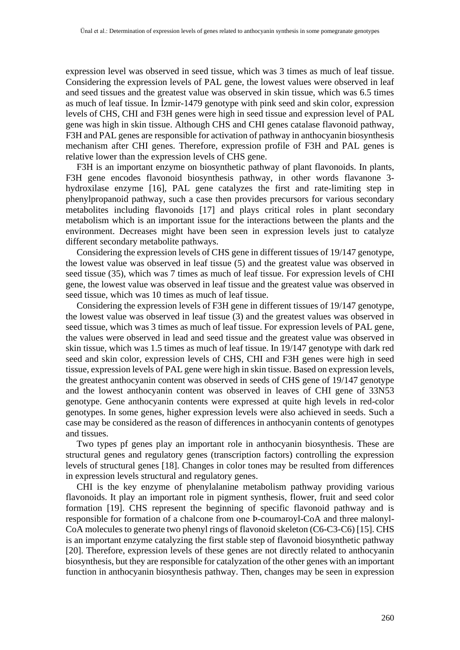expression level was observed in seed tissue, which was 3 times as much of leaf tissue. Considering the expression levels of PAL gene, the lowest values were observed in leaf and seed tissues and the greatest value was observed in skin tissue, which was 6.5 times as much of leaf tissue. In İzmir-1479 genotype with pink seed and skin color, expression levels of CHS, CHI and F3H genes were high in seed tissue and expression level of PAL gene was high in skin tissue. Although CHS and CHI genes catalase flavonoid pathway, F3H and PAL genes are responsible for activation of pathway in anthocyanin biosynthesis mechanism after CHI genes. Therefore, expression profile of F3H and PAL genes is relative lower than the expression levels of CHS gene.

F3H is an important enzyme on biosynthetic pathway of plant flavonoids. In plants, F3H gene encodes flavonoid biosynthesis pathway, in other words flavanone 3 hydroxilase enzyme [16], PAL gene catalyzes the first and rate-limiting step in phenylpropanoid pathway, such a case then provides precursors for various secondary metabolites including flavonoids [17] and plays critical roles in plant secondary metabolism which is an important issue for the interactions between the plants and the environment. Decreases might have been seen in expression levels just to catalyze different secondary metabolite pathways.

Considering the expression levels of CHS gene in different tissues of 19/147 genotype, the lowest value was observed in leaf tissue (5) and the greatest value was observed in seed tissue (35), which was 7 times as much of leaf tissue. For expression levels of CHI gene, the lowest value was observed in leaf tissue and the greatest value was observed in seed tissue, which was 10 times as much of leaf tissue.

Considering the expression levels of F3H gene in different tissues of 19/147 genotype, the lowest value was observed in leaf tissue (3) and the greatest values was observed in seed tissue, which was 3 times as much of leaf tissue. For expression levels of PAL gene, the values were observed in lead and seed tissue and the greatest value was observed in skin tissue, which was 1.5 times as much of leaf tissue. In 19/147 genotype with dark red seed and skin color, expression levels of CHS, CHI and F3H genes were high in seed tissue, expression levels of PAL gene were high in skin tissue. Based on expression levels, the greatest anthocyanin content was observed in seeds of CHS gene of 19/147 genotype and the lowest anthocyanin content was observed in leaves of CHI gene of 33N53 genotype. Gene anthocyanin contents were expressed at quite high levels in red-color genotypes. In some genes, higher expression levels were also achieved in seeds. Such a case may be considered as the reason of differences in anthocyanin contents of genotypes and tissues.

Two types pf genes play an important role in anthocyanin biosynthesis. These are structural genes and regulatory genes (transcription factors) controlling the expression levels of structural genes [18]. Changes in color tones may be resulted from differences in expression levels structural and regulatory genes.

CHI is the key enzyme of phenylalanine metabolism pathway providing various flavonoids. It play an important role in pigment synthesis, flower, fruit and seed color formation [19]. CHS represent the beginning of specific flavonoid pathway and is responsible for formation of a chalcone from one Þ-coumaroyl-CoA and three malonyl-CoA molecules to generate two phenyl rings of flavonoid skeleton (C6-C3-C6) [15]. CHS is an important enzyme catalyzing the first stable step of flavonoid biosynthetic pathway [20]. Therefore, expression levels of these genes are not directly related to anthocyanin biosynthesis, but they are responsible for catalyzation of the other genes with an important function in anthocyanin biosynthesis pathway. Then, changes may be seen in expression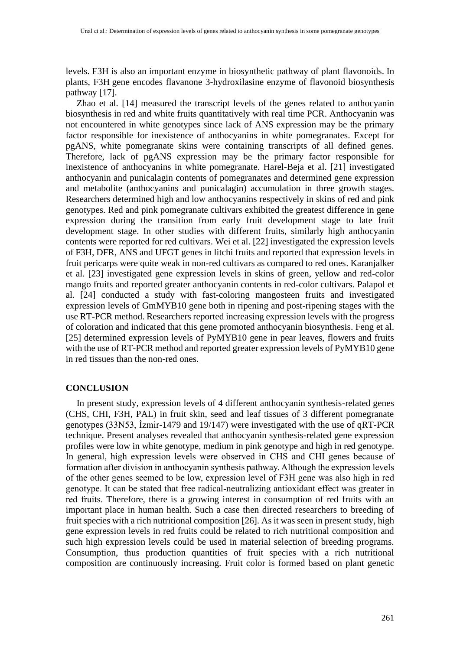levels. F3H is also an important enzyme in biosynthetic pathway of plant flavonoids. In plants, F3H gene encodes flavanone 3-hydroxilasine enzyme of flavonoid biosynthesis pathway [17].

Zhao et al. [14] measured the transcript levels of the genes related to anthocyanin biosynthesis in red and white fruits quantitatively with real time PCR. Anthocyanin was not encountered in white genotypes since lack of ANS expression may be the primary factor responsible for inexistence of anthocyanins in white pomegranates. Except for pgANS, white pomegranate skins were containing transcripts of all defined genes. Therefore, lack of pgANS expression may be the primary factor responsible for inexistence of anthocyanins in white pomegranate. Harel-Beja et al. [21] investigated anthocyanin and punicalagin contents of pomegranates and determined gene expression and metabolite (anthocyanins and punicalagin) accumulation in three growth stages. Researchers determined high and low anthocyanins respectively in skins of red and pink genotypes. Red and pink pomegranate cultivars exhibited the greatest difference in gene expression during the transition from early fruit development stage to late fruit development stage. In other studies with different fruits, similarly high anthocyanin contents were reported for red cultivars. Wei et al. [22] investigated the expression levels of F3H, DFR, ANS and UFGT genes in litchi fruits and reported that expression levels in fruit pericarps were quite weak in non-red cultivars as compared to red ones. Karanjalker et al. [23] investigated gene expression levels in skins of green, yellow and red-color mango fruits and reported greater anthocyanin contents in red-color cultivars. Palapol et al. [24] conducted a study with fast-coloring mangosteen fruits and investigated expression levels of GmMYB10 gene both in ripening and post-ripening stages with the use RT-PCR method. Researchers reported increasing expression levels with the progress of coloration and indicated that this gene promoted anthocyanin biosynthesis. Feng et al. [25] determined expression levels of PyMYB10 gene in pear leaves, flowers and fruits with the use of RT-PCR method and reported greater expression levels of PyMYB10 gene in red tissues than the non-red ones.

## **CONCLUSION**

In present study, expression levels of 4 different anthocyanin synthesis-related genes (CHS, CHI, F3H, PAL) in fruit skin, seed and leaf tissues of 3 different pomegranate genotypes (33N53, İzmir-1479 and 19/147) were investigated with the use of qRT-PCR technique. Present analyses revealed that anthocyanin synthesis-related gene expression profiles were low in white genotype, medium in pink genotype and high in red genotype. In general, high expression levels were observed in CHS and CHI genes because of formation after division in anthocyanin synthesis pathway. Although the expression levels of the other genes seemed to be low, expression level of F3H gene was also high in red genotype. It can be stated that free radical-neutralizing antioxidant effect was greater in red fruits. Therefore, there is a growing interest in consumption of red fruits with an important place in human health. Such a case then directed researchers to breeding of fruit species with a rich nutritional composition [26]. As it was seen in present study, high gene expression levels in red fruits could be related to rich nutritional composition and such high expression levels could be used in material selection of breeding programs. Consumption, thus production quantities of fruit species with a rich nutritional composition are continuously increasing. Fruit color is formed based on plant genetic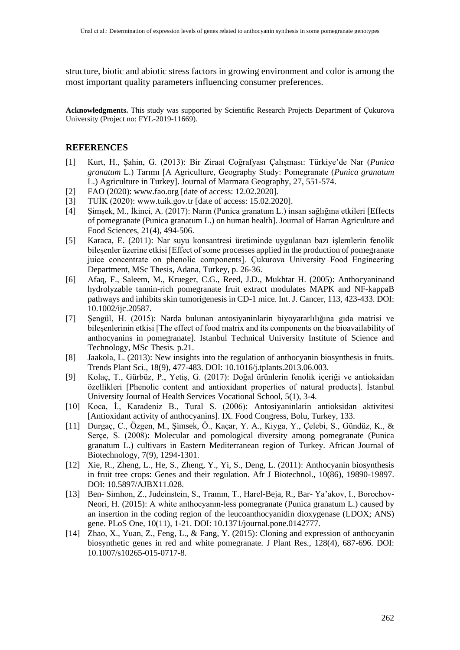structure, biotic and abiotic stress factors in growing environment and color is among the most important quality parameters influencing consumer preferences.

**Acknowledgments.** This study was supported by Scientific Research Projects Department of Çukurova University (Project no: FYL-2019-11669).

# **REFERENCES**

- [1] Kurt, H., Şahin, G. (2013): Bir Ziraat Coğrafyası Çalışması: Türkiye'de Nar (*Punica granatum* L.) Tarımı [A Agriculture, Geography Study: Pomegranate (*Punica granatum* L.) Agriculture in Turkey]. Journal of Marmara Geography, 27, 551-574.
- [2] FAO (2020): www.fao.org [date of access: 12.02.2020].
- [3] TUİK (2020): www.tuik.gov.tr [date of access: 15.02.2020].
- [4] Şimşek, M., İkinci, A. (2017): Narın (Punica granatum L.) insan sağlığına etkileri [Effects of pomegranate (Punica granatum L.) on human health]. Journal of Harran Agriculture and Food Sciences, 21(4), 494-506.
- [5] Karaca, E. (2011): Nar suyu konsantresi üretiminde uygulanan bazı işlemlerin fenolik bileşenler üzerine etkisi [Effect of some processes applied in the production of pomegranate juice concentrate on phenolic components]. Çukurova University Food Engineering Department, MSc Thesis, Adana, Turkey, p. 26-36.
- [6] Afaq, F., Saleem, M., Krueger, C.G., Reed, J.D., Mukhtar H. (2005): Anthocyaninand hydrolyzable tannin-rich pomegranate fruit extract modulates MAPK and NF-kappaB pathways and inhibits skin tumorigenesis in CD-1 mice. Int. J. Cancer, 113, 423-433. DOI: 10.1002/ijc.20587.
- [7] Şengül, H. (2015): Narda bulunan antosiyaninlarin biyoyararlılığına gıda matrisi ve bileşenlerinin etkisi [The effect of food matrix and its components on the bioavailability of anthocyanins in pomegranate]. Istanbul Technical University Institute of Science and Technology, MSc Thesis. p.21.
- [8] Jaakola, L. (2013): New insights into the regulation of anthocyanin biosynthesis in fruits. Trends Plant Sci., 18(9), 477-483. DOI: 10.1016/j.tplants.2013.06.003.
- [9] Kolaç, T., Gürbüz, P., Yetiş, G. (2017): Doğal ürünlerin fenolik içeriği ve antioksidan özellikleri [Phenolic content and antioxidant properties of natural products]. İstanbul University Journal of Health Services Vocational School, 5(1), 3-4.
- [10] Koca, İ., Karadeniz B., Tural S. (2006): Antosiyaninlarin antioksidan aktivitesi [Antioxidant activity of anthocyanins]. IX. Food Congress, Bolu, Turkey, 133.
- [11] Durgaç, C., Özgen, M., Şimsek, Ö., Kaçar, Y. A., Kiyga, Y., Çelebi, S., Gündüz, K., & Serçe, S. (2008): Molecular and pomological diversity among pomegranate (Punica granatum L.) cultivars in Eastern Mediterranean region of Turkey. African Journal of Biotechnology, 7(9), 1294-1301.
- [12] Xie, R., Zheng, L., He, S., Zheng, Y., Yi, S., Deng, L. (2011): Anthocyanin biosynthesis in fruit tree crops: Genes and their regulation. Afr J Biotechnol., 10(86), 19890-19897. DOI: 10.5897/AJBX11.028.
- [13] Ben- Simhon, Z., Judeinstein, S., Traının, T., Harel-Beja, R., Bar- Ya'akov, I., Borochov-Neori, H. (2015): A white anthocyanın-less pomegranate (Punica granatum L.) caused by an insertion in the coding region of the leucoanthocyanidin dioxygenase (LDOX; ANS) gene. PLoS One, 10(11), 1-21. DOI: 10.1371/journal.pone.0142777.
- [14] Zhao, X., Yuan, Z., Feng, L., & Fang, Y. (2015): Cloning and expression of anthocyanin biosynthetic genes in red and white pomegranate. J Plant Res., 128(4), 687-696. DOI: 10.1007/s10265-015-0717-8.